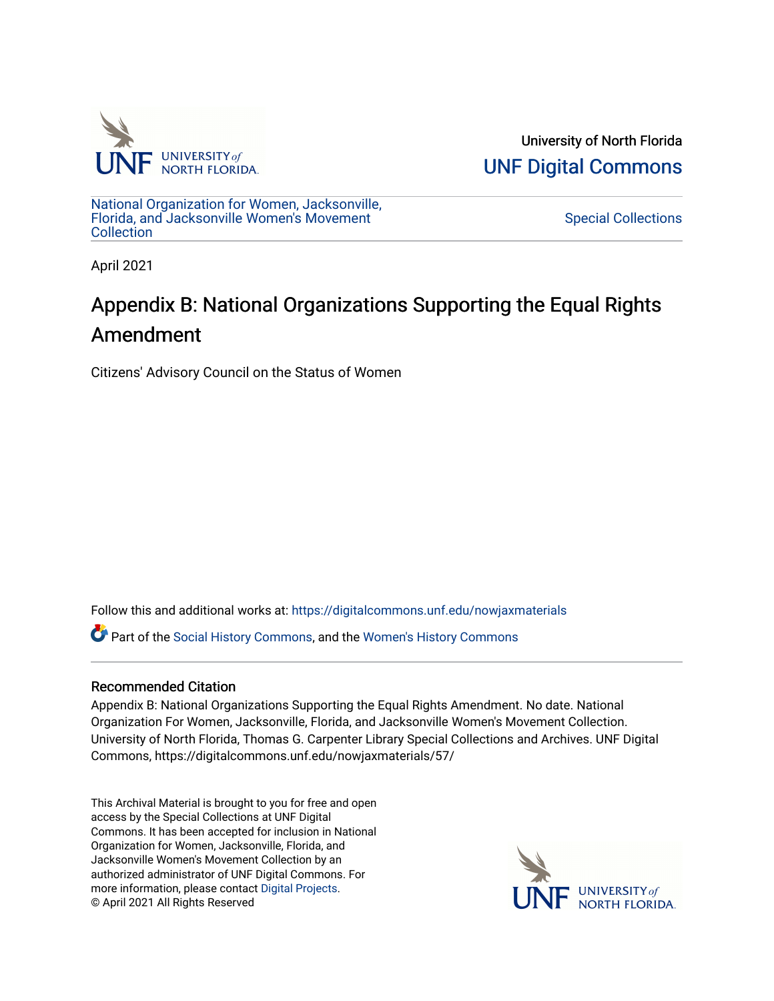

University of North Florida [UNF Digital Commons](https://digitalcommons.unf.edu/) 

[National Organization for Women, Jacksonville,](https://digitalcommons.unf.edu/nowjaxmaterials) [Florida, and Jacksonville Women's Movement](https://digitalcommons.unf.edu/nowjaxmaterials) **Collection** 

[Special Collections](https://digitalcommons.unf.edu/special_collections) 

April 2021

## Appendix B: National Organizations Supporting the Equal Rights Amendment

Citizens' Advisory Council on the Status of Women

Follow this and additional works at: [https://digitalcommons.unf.edu/nowjaxmaterials](https://digitalcommons.unf.edu/nowjaxmaterials?utm_source=digitalcommons.unf.edu%2Fnowjaxmaterials%2F57&utm_medium=PDF&utm_campaign=PDFCoverPages) 

Part of the [Social History Commons](http://network.bepress.com/hgg/discipline/506?utm_source=digitalcommons.unf.edu%2Fnowjaxmaterials%2F57&utm_medium=PDF&utm_campaign=PDFCoverPages), and the [Women's History Commons](http://network.bepress.com/hgg/discipline/507?utm_source=digitalcommons.unf.edu%2Fnowjaxmaterials%2F57&utm_medium=PDF&utm_campaign=PDFCoverPages)

## Recommended Citation

Appendix B: National Organizations Supporting the Equal Rights Amendment. No date. National Organization For Women, Jacksonville, Florida, and Jacksonville Women's Movement Collection. University of North Florida, Thomas G. Carpenter Library Special Collections and Archives. UNF Digital Commons, https://digitalcommons.unf.edu/nowjaxmaterials/57/

This Archival Material is brought to you for free and open access by the Special Collections at UNF Digital Commons. It has been accepted for inclusion in National Organization for Women, Jacksonville, Florida, and Jacksonville Women's Movement Collection by an authorized administrator of UNF Digital Commons. For more information, please contact [Digital Projects](mailto:lib-digital@unf.edu). © April 2021 All Rights Reserved